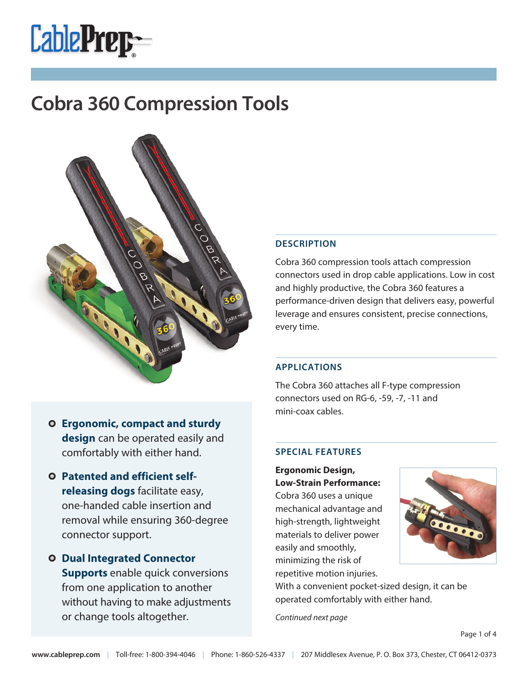



### **DESCRIPTION**

Cobra 360 compression tools attach compression connectors used in drop cable applications. Low in cost and highly productive, the Cobra 360 features a performance-driven design that delivers easy, powerful leverage and ensures consistent, precise connections, every time.

### **APPLICATIONS**

The Cobra 360 attaches all F-type compression connectors used on RG-6, -59, -7, -11 and mini-coax cables.

#### **SPECIAL FEATURES**

**Ergonomic Design, Low-Strain Performance:**

Cobra 360 uses a unique mechanical advantage and high-strength, lightweight materials to deliver power easily and smoothly, minimizing the risk of repetitive motion injuries.



With a convenient pocket-sized design, it can be operated comfortably with either hand.

Continued next page

**Ergonomic, compact and sturdy design** can be operated easily and comfortably with either hand.

- **Patented and efficient selfreleasing dogs** facilitate easy, one-handed cable insertion and removal while ensuring 360-degree connector support.
- **Dual Integrated Connector Supports** enable quick conversions from one application to another without having to make adjustments or change tools altogether.

Page 1 of 4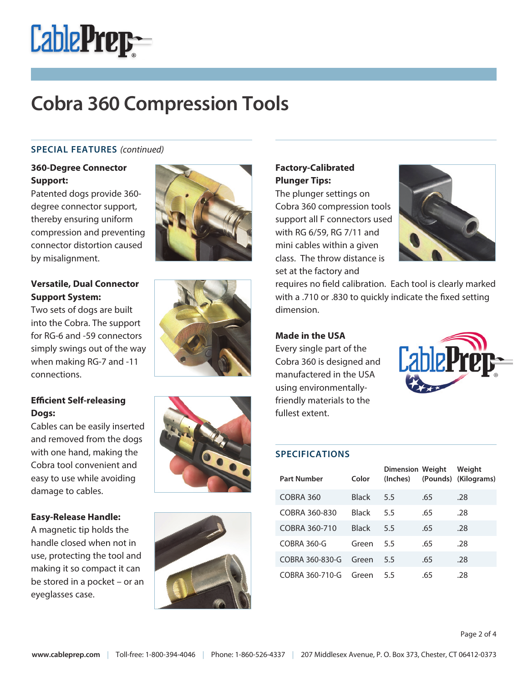

### **SPECIAL FEATURES** (continued)

## **360-Degree Connector Support:**

Patented dogs provide 360 degree connector support, thereby ensuring uniform compression and preventing connector distortion caused by misalignment.



Two sets of dogs are built into the Cobra. The support for RG-6 and -59 connectors simply swings out of the way when making RG-7 and -11 connections.

## **Efficient Self-releasing Dogs:**

Cables can be easily inserted and removed from the dogs with one hand, making the Cobra tool convenient and easy to use while avoiding damage to cables.

#### **Easy-Release Handle:**

A magnetic tip holds the handle closed when not in use, protecting the tool and making it so compact it can be stored in a pocket – or an eyeglasses case.









## **Factory-Calibrated Plunger Tips:**

The plunger settings on Cobra 360 compression tools support all F connectors used with RG 6/59, RG 7/11 and mini cables within a given class. The throw distance is set at the factory and



requires no field calibration. Each tool is clearly marked with a .710 or .830 to quickly indicate the fixed setting dimension.

#### **Made in the USA**

Every single part of the Cobra 360 is designed and manufactered in the USA using environmentallyfriendly materials to the fullest extent.



#### **SPECIFICATIONS**

| <b>Part Number</b> | Color        | <b>Dimension Weight</b><br>(Inches) |     | Weight<br>(Pounds) (Kilograms) |
|--------------------|--------------|-------------------------------------|-----|--------------------------------|
| COBRA 360          | <b>Black</b> | 5.5                                 | .65 | .28                            |
| COBRA 360-830      | <b>Black</b> | 5.5                                 | .65 | .28                            |
| COBRA 360-710      | Black        | 5.5                                 | .65 | .28                            |
| COBRA 360-G        | Green        | 5.5                                 | .65 | .28                            |
| COBRA 360-830-G    | Green        | 5.5                                 | .65 | .28                            |
| COBRA 360-710-G    | Green        | 55                                  | .65 | .28                            |

Page 2 of 4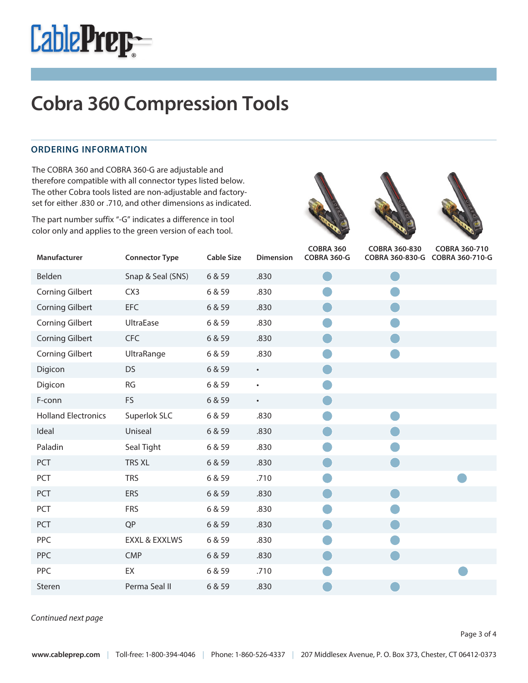

#### **ORDERING INFORMATION**

The COBRA 360 and COBRA 360-G are adjustable and therefore compatible with all connector types listed below. The other Cobra tools listed are non-adjustable and factoryset for either .830 or .710, and other dimensions as indicated.

 color only and applies to the green version of each tool.The part number suffix "-G" indicates a difference in tool







| Manufacturer               | <b>Connector Type</b> | <b>Cable Size</b> | <b>Dimension</b> | <b>COBRA 360</b><br><b>COBRA 360-G</b> | COBRA 360-830<br>COBRA 360-830-G COBRA 360-710-G | COBRA 360-710 |
|----------------------------|-----------------------|-------------------|------------------|----------------------------------------|--------------------------------------------------|---------------|
| Belden                     | Snap & Seal (SNS)     | 6 & 59            | .830             |                                        |                                                  |               |
| <b>Corning Gilbert</b>     | CX3                   | 6 & 59            | .830             |                                        |                                                  |               |
| <b>Corning Gilbert</b>     | <b>EFC</b>            | 6 & 59            | .830             |                                        |                                                  |               |
| <b>Corning Gilbert</b>     | UltraEase             | 6 & 59            | .830             |                                        |                                                  |               |
| <b>Corning Gilbert</b>     | <b>CFC</b>            | 6 & 59            | .830             |                                        |                                                  |               |
| <b>Corning Gilbert</b>     | UltraRange            | 6 & 59            | .830             |                                        |                                                  |               |
| Digicon                    | <b>DS</b>             | 6 & 59            | $\bullet$        |                                        |                                                  |               |
| Digicon                    | <b>RG</b>             | 6 & 59            | $\bullet$        |                                        |                                                  |               |
| F-conn                     | FS                    | 6 & 59            | $\bullet$        |                                        |                                                  |               |
| <b>Holland Electronics</b> | Superlok SLC          | 6 & 59            | .830             |                                        |                                                  |               |
| Ideal                      | Uniseal               | 6 & 59            | .830             |                                        |                                                  |               |
| Paladin                    | Seal Tight            | 6 & 59            | .830             |                                        |                                                  |               |
| PCT                        | TRS XL                | 6 & 59            | .830             |                                        |                                                  |               |
| PCT                        | <b>TRS</b>            | 6 & 59            | .710             |                                        |                                                  |               |
| PCT                        | ERS                   | 6 & 59            | .830             |                                        |                                                  |               |
| PCT                        | <b>FRS</b>            | 6 & 59            | .830             |                                        |                                                  |               |
| PCT                        | <b>QP</b>             | 6 & 59            | .830             |                                        |                                                  |               |
| PPC                        | EXXL & EXXLWS         | 6 & 59            | .830             |                                        |                                                  |               |
| PPC                        | <b>CMP</b>            | 6 & 59            | .830             |                                        |                                                  |               |
| PPC                        | EX                    | 6 & 59            | .710             |                                        |                                                  |               |
| Steren                     | Perma Seal II         | 6 & 59            | .830             |                                        |                                                  |               |

Continued next page

Page 3 of 4